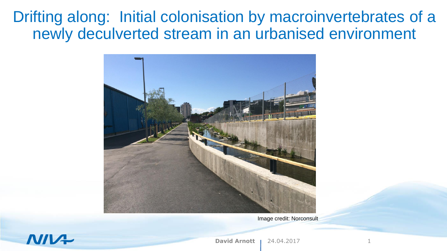Drifting along: Initial colonisation by macroinvertebrates of a newly deculverted stream in an urbanised environment



Image credit: Norconsult



**David Arnott 1 24.04.2017**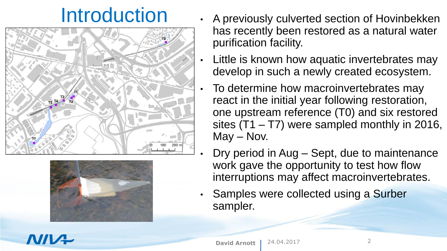



- Introduction A previously culverted section of Hovinbekken has recently been restored as a natural water purification facility.
	- Little is known how aquatic invertebrates may develop in such a newly created ecosystem.
	- To determine how macroinvertebrates may react in the initial year following restoration, one upstream reference (T0) and six restored sites (T1 – T7) were sampled monthly in 2016, May – Nov.
	- Dry period in Aug Sept, due to maintenance work gave the opportunity to test how flow interruptions may affect macroinvertebrates.
	- Samples were collected using a Surber sampler.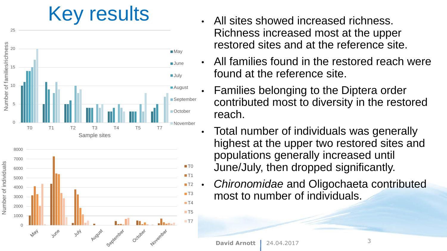## Key results . All sites showed increased richness.



- Richness increased most at the upper restored sites and at the reference site.
- All families found in the restored reach were found at the reference site.
- Families belonging to the Diptera order contributed most to diversity in the restored reach.
- Total number of individuals was generally highest at the upper two restored sites and populations generally increased until June/July, then dropped significantly.
- *Chironomidae* and Oligochaeta contributed most to number of individuals.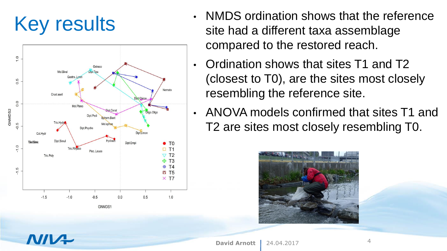

- Key results<br>
For the site had a different taxa assemblage site had a different taxa assemblage compared to the restored reach.
	- Ordination shows that sites T1 and T2 (closest to T0), are the sites most closely resembling the reference site.
	- ANOVA models confirmed that sites T1 and T2 are sites most closely resembling T0.